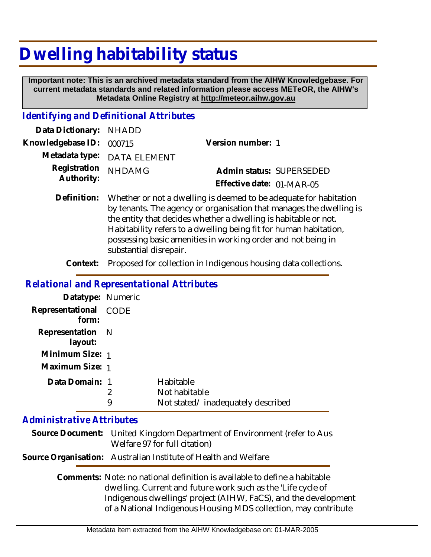# **Dwelling habitability status**

 **Important note: This is an archived metadata standard from the AIHW Knowledgebase. For current metadata standards and related information please access METeOR, the AIHW's Metadata Online Registry at http://meteor.aihw.gov.au**

### *Identifying and Definitional Attributes*

| Data Dictionary: NHADD   |                             |                           |  |
|--------------------------|-----------------------------|---------------------------|--|
| Knowledgebase ID: 000715 |                             | Version number: 1         |  |
|                          | Metadata type: DATA ELEMENT |                           |  |
| Registration NHDAMG      |                             | Admin status: SUPERSEDED  |  |
| Authority:               |                             | Effective date: 01-MAR-05 |  |

Definition: Whether or not a dwelling is deemed to be adequate for habitation by tenants. The agency or organisation that manages the dwelling is the entity that decides whether a dwelling is habitable or not. Habitability refers to a dwelling being fit for human habitation, possessing basic amenities in working order and not being in substantial disrepair.

**Context:** Proposed for collection in Indigenous housing data collections.

#### *Relational and Representational Attributes*

| Datatype: Numeric              |   |                                   |
|--------------------------------|---|-----------------------------------|
| Representational CODE<br>form: |   |                                   |
| Representation N<br>layout:    |   |                                   |
| Minimum Size: 1                |   |                                   |
| Maximum Size: 1                |   |                                   |
| Data Domain: 1                 |   | Habitable                         |
|                                | 2 | Not habitable                     |
|                                | 9 | Not stated/inadequately described |

## *Administrative Attributes*

| Source Document: United Kingdom Department of Environment (refer to Aus |
|-------------------------------------------------------------------------|
| Welfare 97 for full citation)                                           |

#### **Source Organisation:** Australian Institute of Health and Welfare

Comments: Note: no national definition is available to define a habitable dwelling. Current and future work such as the 'Life cycle of Indigenous dwellings' project (AIHW, FaCS), and the development of a National Indigenous Housing MDS collection, may contribute